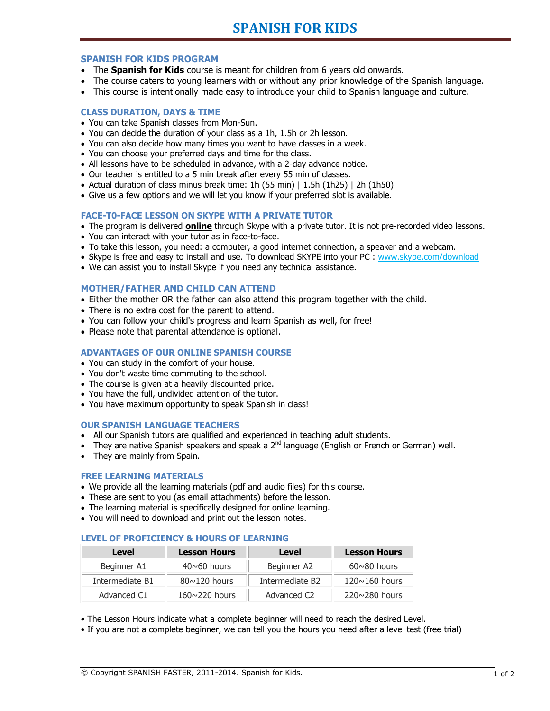## **SPANISH FOR KIDS PROGRAM**

- The **Spanish for Kids** course is meant for children from 6 years old onwards.
- The course caters to young learners with or without any prior knowledge of the Spanish language.
- This course is intentionally made easy to introduce your child to Spanish language and culture.

## **CLASS DURATION, DAYS & TIME**

- You can take Spanish classes from Mon-Sun.
- You can decide the duration of your class as a 1h, 1.5h or 2h lesson.
- You can also decide how many times you want to have classes in a week.
- You can choose your preferred days and time for the class.
- All lessons have to be scheduled in advance, with a 2-day advance notice.
- Our teacher is entitled to a 5 min break after every 55 min of classes.
- Actual duration of class minus break time: 1h (55 min)  $| 1.5h (1h25) | 2h (1h50)$
- Give us a few options and we will let you know if your preferred slot is available.

# **FACE-T0-FACE LESSON ON SKYPE WITH A PRIVATE TUTOR**

- The program is delivered **online** through Skype with a private tutor. It is not pre-recorded video lessons.
- You can interact with your tutor as in face-to-face.
- To take this lesson, you need: a computer, a good internet connection, a speaker and a webcam.
- Skype is free and easy to install and use. To download SKYPE into your PC : [www.skype.com/download](http://www.skype.com/download)
- We can assist you to install Skype if you need any technical assistance.

## **MOTHER/FATHER AND CHILD CAN ATTEND**

- Either the mother OR the father can also attend this program together with the child.
- There is no extra cost for the parent to attend.
- You can follow your child's progress and learn Spanish as well, for free!
- Please note that parental attendance is optional.

# **ADVANTAGES OF OUR ONLINE SPANISH COURSE**

- You can study in the comfort of your house.
- You don't waste time commuting to the school.
- The course is given at a heavily discounted price.
- You have the full, undivided attention of the tutor.
- You have maximum opportunity to speak Spanish in class!

### **OUR SPANISH LANGUAGE TEACHERS**

- All our Spanish tutors are qualified and experienced in teaching adult students.
- They are native Spanish speakers and speak a  $2^{nd}$  language (English or French or German) well.
- They are mainly from Spain.

#### **FREE LEARNING MATERIALS**

- We provide all the learning materials (pdf and audio files) for this course.
- These are sent to you (as email attachments) before the lesson.
- The learning material is specifically designed for online learning.
- You will need to download and print out the lesson notes.

### **LEVEL OF PROFICIENCY & HOURS OF LEARNING**

| Level           | <b>Lesson Hours</b>  | Level                   | <b>Lesson Hours</b>  |  |
|-----------------|----------------------|-------------------------|----------------------|--|
| Beginner A1     | $40 \sim 60$ hours   | Beginner A2             | $60 \sim 80$ hours   |  |
| Intermediate B1 | $80 \sim 120$ hours  | Intermediate B2         | $120 \sim 160$ hours |  |
| Advanced C1     | $160 \sim 220$ hours | Advanced C <sub>2</sub> | $220 \sim 280$ hours |  |

• The Lesson Hours indicate what a complete beginner will need to reach the desired Level.

• If you are not a complete beginner, we can tell you the hours you need after a level test (free trial)